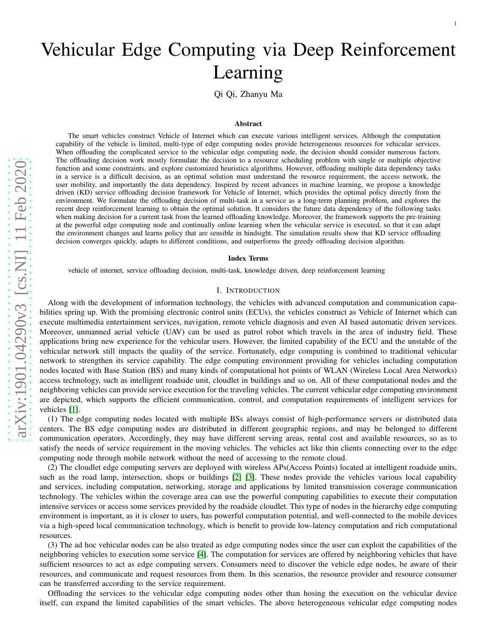1

Qi Qi, Zhanyu Ma

#### Abstract

The smart vehicles construct Vehicle of Internet which can execute various intelligent services. Although the computation capability of the vehicle is limited, multi-type of edge computing nodes provide heterogeneous resources for vehicular services. When offloading the complicated service to the vehicular edge computing node, the decision should consider numerous factors. The offloading decision work mostly formulate the decision to a resource scheduling problem with single or multiple objective function and some constraints, and explore customized heuristics algorithms. However, offloading multiple data dependency tasks in a service is a difficult decision, as an optimal solution must understand the resource requirement, the access network, the user mobility, and importantly the data dependency. Inspired by recent advances in machine learning, we propose a knowledge driven (KD) service offloading decision framework for Vehicle of Internet, which provides the optimal policy directly from the environment. We formulate the offloading decision of multi-task in a service as a long-term planning problem, and explores the recent deep reinforcement learning to obtain the optimal solution. It considers the future data dependency of the following tasks when making decision for a current task from the learned offloading knowledge. Moreover, the framework supports the pre-training at the powerful edge computing node and continually online learning when the vehicular service is executed, so that it can adapt the environment changes and learns policy that are sensible in hindsight. The simulation results show that KD service offloading decision converges quickly, adapts to different conditions, and outperforms the greedy offloading decision algorithm .

#### Index Terms

vehicle of internet, service offloading decision, multi-task, knowledge driven, deep reinforcement learning

#### I. INTRODUCTION

Along with the development of information technology, the vehicles with advanced computation and communication capabilities spring up. With the promising electronic control units (ECUs), the vehicles construct as Vehicle of Internet which can execute multimedia entertainment services, navigation, remote vehicle diagnosis and even AI based automatic driven services. Moreover, unmanned aerial vehicle (UAV) can be used as patrol robot which travels in the area of industry field. These applications bring new experience for the vehicular users. However, the limited capability of the ECU and the unstable of the vehicular network still impacts the quality of the service. Fortunately, edge computing is combined to traditional vehicular network to strengthen its service capability. The edge computing environment providing for vehicles including computation nodes located with Base Station (BS) and many kinds of computational hot points of WLAN (Wireless Local Area Networks) access technology, such as intelligent roadside unit, cloudlet in buildings and so on. All of these computational nodes and the neighboring vehicles can provide service execution for the traveling vehicles. The current vehicular edge computing environment are depicted, which supports the efficient communication, control, and computation requirements of intelligent services for vehicles [\[1\]](#page-10-0).

(1) The edge computing nodes located with multiple BSs always consist of high-performance servers or distributed data centers. The BS edge computing nodes are distributed in different geographic regions, and may be belonged to different communication operators. Accordingly, they may have different serving areas, rental cost and available resources, so as to satisfy the needs of service requirement in the moving vehicles. The vehicles act like thin clients connecting over to the edge computing node through mobile network without the need of accessing to the remote cloud.

(2) The cloudlet edge computing servers are deployed with wireless APs(Access Points) located at intelligent roadside units, such as the road lamp, intersection, shops or buildings [\[2\]](#page-10-1) [\[3\]](#page-10-2). These nodes provide the vehicles various local capability and services, including computation, networking, storage and applications by limited transmission coverage communication technology. The vehicles within the coverage area can use the powerful computing capabilities to execute their computation intensive services or access some services provided by the roadside cloudlet. This type of nodes in the hierarchy edge computing environment is important, as it is closer to users, has powerful computation potential, and well-connected to the mobile devices via a high-speed local communication technology, which is benefit to provide low-latency computation and rich computational resources.

(3) The ad hoc vehicular nodes can be also treated as edge computing nodes since the user can exploit the capabilities of th e neighboring vehicles to execution some service [\[4\]](#page-10-3). The computation for services are offered by neighboring vehicles that have sufficient resources to act as edge computing servers. Consumers need to discover the vehicle edge nodes, be aware of their resources, and communicate and request resources from them. In this scenarios, the resource provider and resource consumer can be transferred according to the service requirement.

Offloading the services to the vehicular edge computing nodes other than hosing the execution on the vehicular device itself, can expand the limited capabilities of the smart vehicles. The above heterogeneous vehicular edge computing nodes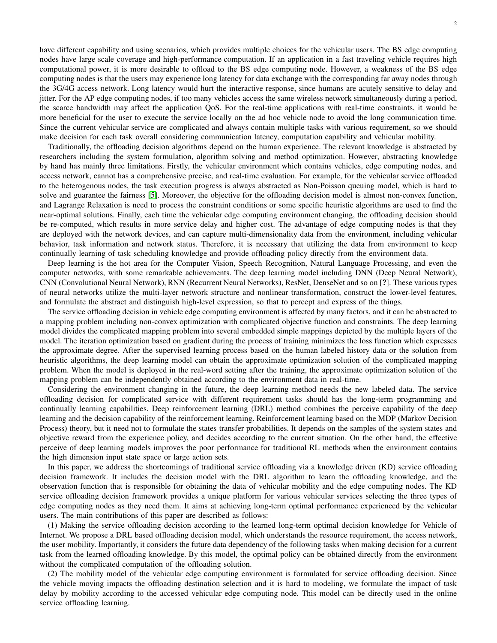have different capability and using scenarios, which provides multiple choices for the vehicular users. The BS edge computing nodes have large scale coverage and high-performance computation. If an application in a fast traveling vehicle requires high computational power, it is more desirable to offload to the BS edge computing node. However, a weakness of the BS edge computing nodes is that the users may experience long latency for data exchange with the corresponding far away nodes through the 3G/4G access network. Long latency would hurt the interactive response, since humans are acutely sensitive to delay and jitter. For the AP edge computing nodes, if too many vehicles access the same wireless network simultaneously during a period, the scarce bandwidth may affect the application QoS. For the real-time applications with real-time constraints, it would be more beneficial for the user to execute the service locally on the ad hoc vehicle node to avoid the long communication time. Since the current vehicular service are complicated and always contain multiple tasks with various requirement, so we should make decision for each task overall considering communication latency, computation capability and vehicular mobility.

Traditionally, the offloading decision algorithms depend on the human experience. The relevant knowledge is abstracted by researchers including the system formulation, algorithm solving and method optimization. However, abstracting knowledge by hand has mainly three limitations. Firstly, the vehicular environment which contains vehicles, edge computing nodes, and access network, cannot has a comprehensive precise, and real-time evaluation. For example, for the vehicular service offloaded to the heterogenous nodes, the task execution progress is always abstracted as Non-Poisson queuing model, which is hard to solve and guarantee the fairness [\[5\]](#page-10-4). Moreover, the objective for the offloading decision model is almost non-convex function, and Lagrange Relaxation is need to process the constraint conditions or some specific heuristic algorithms are used to find the near-optimal solutions. Finally, each time the vehicular edge computing environment changing, the offloading decision should be re-computed, which results in more service delay and higher cost. The advantage of edge computing nodes is that they are deployed with the network devices, and can capture multi-dimensionality data from the environment, including vehicular behavior, task information and network status. Therefore, it is necessary that utilizing the data from environment to keep continually learning of task scheduling knowledge and provide offloading policy directly from the environment data.

Deep learning is the hot area for the Computer Vision, Speech Recognition, Natural Language Processing, and even the computer networks, with some remarkable achievements. The deep learning model including DNN (Deep Neural Network), CNN (Convolutional Neural Network), RNN (Recurrent Neural Networks), ResNet, DenseNet and so on [?]. These various types of neural networks utilize the multi-layer network structure and nonlinear transformation, construct the lower-level features, and formulate the abstract and distinguish high-level expression, so that to percept and express of the things.

The service offloading decision in vehicle edge computing environment is affected by many factors, and it can be abstracted to a mapping problem including non-convex optimization with complicated objective function and constraints. The deep learning model divides the complicated mapping problem into several embedded simple mappings depicted by the multiple layers of the model. The iteration optimization based on gradient during the process of training minimizes the loss function which expresses the approximate degree. After the supervised learning process based on the human labeled history data or the solution from heuristic algorithms, the deep learning model can obtain the approximate optimization solution of the complicated mapping problem. When the model is deployed in the real-word setting after the training, the approximate optimization solution of the mapping problem can be independently obtained according to the environment data in real-time.

Considering the environment changing in the future, the deep learning method needs the new labeled data. The service offloading decision for complicated service with different requirement tasks should has the long-term programming and continually learning capabilities. Deep reinforcement learning (DRL) method combines the perceive capability of the deep learning and the decision capability of the reinforcement learning. Reinforcement learning based on the MDP (Markov Decision Process) theory, but it need not to formulate the states transfer probabilities. It depends on the samples of the system states and objective reward from the experience policy, and decides according to the current situation. On the other hand, the effective perceive of deep learning models improves the poor performance for traditional RL methods when the environment contains the high dimension input state space or large action sets.

In this paper, we address the shortcomings of traditional service offloading via a knowledge driven (KD) service offloading decision framework. It includes the decision model with the DRL algorithm to learn the offloading knowledge, and the observation function that is responsible for obtaining the data of vehicular mobility and the edge computing nodes. The KD service offloading decision framework provides a unique platform for various vehicular services selecting the three types of edge computing nodes as they need them. It aims at achieving long-term optimal performance experienced by the vehicular users. The main contributions of this paper are described as follows:

(1) Making the service offloading decision according to the learned long-term optimal decision knowledge for Vehicle of Internet. We propose a DRL based offloading decision model, which understands the resource requirement, the access network, the user mobility. Importantly, it considers the future data dependency of the following tasks when making decision for a current task from the learned offloading knowledge. By this model, the optimal policy can be obtained directly from the environment without the complicated computation of the offloading solution.

(2) The mobility model of the vehicular edge computing environment is formulated for service offloading decision. Since the vehicle moving impacts the offloading destination selection and it is hard to modeling, we formulate the impact of task delay by mobility according to the accessed vehicular edge computing node. This model can be directly used in the online service offloading learning.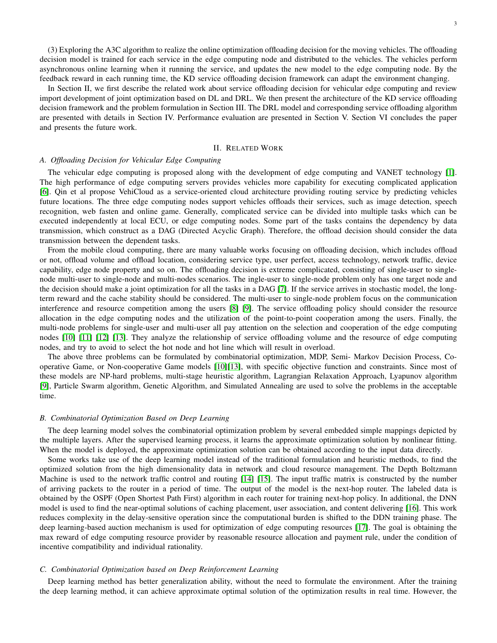(3) Exploring the A3C algorithm to realize the online optimization offloading decision for the moving vehicles. The offloading decision model is trained for each service in the edge computing node and distributed to the vehicles. The vehicles perform asynchronous online learning when it running the service, and updates the new model to the edge computing node. By the feedback reward in each running time, the KD service offloading decision framework can adapt the environment changing.

In Section II, we first describe the related work about service offloading decision for vehicular edge computing and review import development of joint optimization based on DL and DRL. We then present the architecture of the KD service offloading decision framework and the problem formulation in Section III. The DRL model and corresponding service offloading algorithm are presented with details in Section IV. Performance evaluation are presented in Section V. Section VI concludes the paper and presents the future work.

## II. RELATED WORK

# *A. Offloading Decision for Vehicular Edge Computing*

The vehicular edge computing is proposed along with the development of edge computing and VANET technology [\[1\]](#page-10-0). The high performance of edge computing servers provides vehicles more capability for executing complicated application [\[6\]](#page-10-5). Qin et al propose VehiCloud as a service-oriented cloud architecture providing routing service by predicting vehicles future locations. The three edge computing nodes support vehicles offloads their services, such as image detection, speech recognition, web fasten and online game. Generally, complicated service can be divided into multiple tasks which can be executed independently at local ECU, or edge computing nodes. Some part of the tasks contains the dependency by data transmission, which construct as a DAG (Directed Acyclic Graph). Therefore, the offload decision should consider the data transmission between the dependent tasks.

From the mobile cloud computing, there are many valuable works focusing on offloading decision, which includes offload or not, offload volume and offload location, considering service type, user perfect, access technology, network traffic, device capability, edge node property and so on. The offloading decision is extreme complicated, consisting of single-user to singlenode multi-user to single-node and multi-nodes scenarios. The ingle-user to single-node problem only has one target node and the decision should make a joint optimization for all the tasks in a DAG [\[7\]](#page-10-6). If the service arrives in stochastic model, the longterm reward and the cache stability should be considered. The multi-user to single-node problem focus on the communication interference and resource competition among the users [\[8\]](#page-10-7) [\[9\]](#page-10-8). The service offloading policy should consider the resource allocation in the edge computing nodes and the utilization of the point-to-point cooperation among the users. Finally, the multi-node problems for single-user and multi-user all pay attention on the selection and cooperation of the edge computing nodes [\[10\]](#page-10-9) [\[11\]](#page-10-10) [\[12\]](#page-10-11) [\[13\]](#page-10-12). They analyze the relationship of service offloading volume and the resource of edge computing nodes, and try to avoid to select the hot node and hot line which will result in overload.

The above three problems can be formulated by combinatorial optimization, MDP, Semi- Markov Decision Process, Cooperative Game, or Non-cooperative Game models [\[10\]](#page-10-9)[\[13\]](#page-10-12), with specific objective function and constraints. Since most of these models are NP-hard problems, multi-stage heuristic algorithm, Lagrangian Relaxation Approach, Lyapunov algorithm [\[9\]](#page-10-8), Particle Swarm algorithm, Genetic Algorithm, and Simulated Annealing are used to solve the problems in the acceptable time.

### *B. Combinatorial Optimization Based on Deep Learning*

The deep learning model solves the combinatorial optimization problem by several embedded simple mappings depicted by the multiple layers. After the supervised learning process, it learns the approximate optimization solution by nonlinear fitting. When the model is deployed, the approximate optimization solution can be obtained according to the input data directly.

Some works take use of the deep learning model instead of the traditional formulation and heuristic methods, to find the optimized solution from the high dimensionality data in network and cloud resource management. The Depth Boltzmann Machine is used to the network traffic control and routing [\[14\]](#page-10-13) [\[15\]](#page-10-14). The input traffic matrix is constructed by the number of arriving packets to the router in a period of time. The output of the model is the next-hop router. The labeled data is obtained by the OSPF (Open Shortest Path First) algorithm in each router for training next-hop policy. In additional, the DNN model is used to find the near-optimal solutions of caching placement, user association, and content delivering [\[16\]](#page-10-15). This work reduces complexity in the delay-sensitive operation since the computational burden is shifted to the DDN training phase. The deep learning-based auction mechanism is used for optimization of edge computing resources [\[17\]](#page-10-16). The goal is obtaining the max reward of edge computing resource provider by reasonable resource allocation and payment rule, under the condition of incentive compatibility and individual rationality.

#### *C. Combinatorial Optimization based on Deep Reinforcement Learning*

Deep learning method has better generalization ability, without the need to formulate the environment. After the training the deep learning method, it can achieve approximate optimal solution of the optimization results in real time. However, the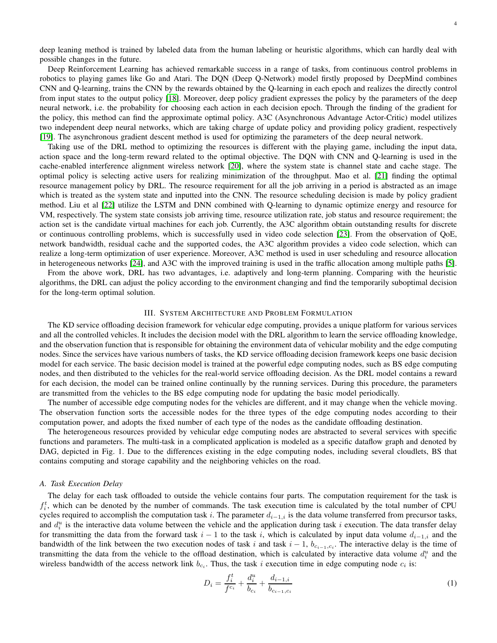Deep Reinforcement Learning has achieved remarkable success in a range of tasks, from continuous control problems in robotics to playing games like Go and Atari. The DQN (Deep Q-Network) model firstly proposed by DeepMind combines CNN and Q-learning, trains the CNN by the rewards obtained by the Q-learning in each epoch and realizes the directly control from input states to the output policy [\[18\]](#page-10-17). Moreover, deep policy gradient expresses the policy by the parameters of the deep neural network, i.e. the probability for choosing each action in each decision epoch. Through the finding of the gradient for the policy, this method can find the approximate optimal policy. A3C (Asynchronous Advantage Actor-Critic) model utilizes two independent deep neural networks, which are taking charge of update policy and providing policy gradient, respectively [\[19\]](#page-10-18). The asynchronous gradient descent method is used for optimizing the parameters of the deep neural network.

Taking use of the DRL method to optimizing the resources is different with the playing game, including the input data, action space and the long-term reward related to the optimal objective. The DQN with CNN and Q-learning is used in the cache-enabled interference alignment wireless network [\[20\]](#page-10-19), where the system state is channel state and cache stage. The optimal policy is selecting active users for realizing minimization of the throughput. Mao et al. [\[21\]](#page-10-20) finding the optimal resource management policy by DRL. The resource requirement for all the job arriving in a period is abstracted as an image which is treated as the system state and inputted into the CNN. The resource scheduling decision is made by policy gradient method. Liu et al [\[22\]](#page-10-21) utilize the LSTM and DNN combined with Q-learning to dynamic optimize energy and resource for VM, respectively. The system state consists job arriving time, resource utilization rate, job status and resource requirement; the action set is the candidate virtual machines for each job. Currently, the A3C algorithm obtain outstanding results for discrete or continuous controlling problems, which is successfully used in video code selection [\[23\]](#page-10-22). From the observation of QoE, network bandwidth, residual cache and the supported codes, the A3C algorithm provides a video code selection, which can realize a long-term optimization of user experience. Moreover, A3C method is used in user scheduling and resource allocation in heterogeneous networks [\[24\]](#page-10-23), and A3C with the improved training is used in the traffic allocation among multiple paths [\[5\]](#page-10-4).

From the above work, DRL has two advantages, i.e. adaptively and long-term planning. Comparing with the heuristic algorithms, the DRL can adjust the policy according to the environment changing and find the temporarily suboptimal decision for the long-term optimal solution.

# III. SYSTEM ARCHITECTURE AND PROBLEM FORMULATION

The KD service offloading decision framework for vehicular edge computing, provides a unique platform for various services and all the controlled vehicles. It includes the decision model with the DRL algorithm to learn the service offloading knowledge, and the observation function that is responsible for obtaining the environment data of vehicular mobility and the edge computing nodes. Since the services have various numbers of tasks, the KD service offloading decision framework keeps one basic decision model for each service. The basic decision model is trained at the powerful edge computing nodes, such as BS edge computing nodes, and then distributed to the vehicles for the real-world service offloading decision. As the DRL model contains a reward for each decision, the model can be trained online continually by the running services. During this procedure, the parameters are transmitted from the vehicles to the BS edge computing node for updating the basic model periodically.

The number of accessible edge computing nodes for the vehicles are different, and it may change when the vehicle moving. The observation function sorts the accessible nodes for the three types of the edge computing nodes according to their computation power, and adopts the fixed number of each type of the nodes as the candidate offloading destination.

The heterogeneous resources provided by vehicular edge computing nodes are abstracted to several services with specific functions and parameters. The multi-task in a complicated application is modeled as a specific dataflow graph and denoted by DAG, depicted in Fig. 1. Due to the differences existing in the edge computing nodes, including several cloudlets, BS that contains computing and storage capability and the neighboring vehicles on the road.

#### *A. Task Execution Delay*

The delay for each task offloaded to outside the vehicle contains four parts. The computation requirement for the task is  $f_i^t$ , which can be denoted by the number of commands. The task execution time is calculated by the total number of CPU cycles required to accomplish the computation task i. The parameter  $d_{i-1,i}$  is the data volume transferred from precursor tasks, and  $d_i^u$  is the interactive data volume between the vehicle and the application during task i execution. The data transfer delay for transmitting the data from the forward task  $i - 1$  to the task i, which is calculated by input data volume  $d_{i-1,i}$  and the bandwidth of the link between the two execution nodes of task i and task  $i-1$ ,  $b_{c_{i-1},c_i}$ . The interactive delay is the time of transmitting the data from the vehicle to the offload destination, which is calculated by interactive data volume  $d_i^u$  and the wireless bandwidth of the access network link  $b_{c_i}$ . Thus, the task i execution time in edge computing node  $c_i$  is:

$$
D_i = \frac{f_i^t}{f^{c_i}} + \frac{d_i^u}{b_{c_i}} + \frac{d_{i-1,i}}{b_{c_{i-1},c_i}}\tag{1}
$$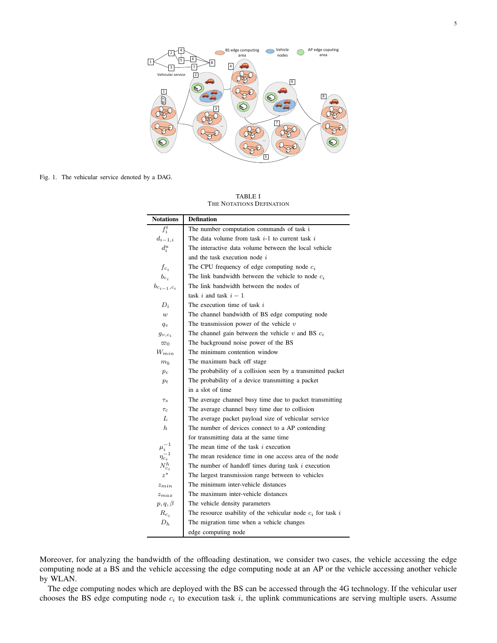

Fig. 1. The vehicular service denoted by a DAG.

TABLE I THE NOTATIONS DEFINATION

| <b>Notations</b>   | <b>Defination</b>                                             |
|--------------------|---------------------------------------------------------------|
| $f_i^t$            | The number computation commands of task i                     |
| $d_{i-1,i}$        | The data volume from task $i-1$ to current task i             |
| $d_i^u$            | The interactive data volume between the local vehicle         |
|                    | and the task execution node i                                 |
| $f_{c_i}$          | The CPU frequency of edge computing node $c_i$                |
| $b_{c_i}$          | The link bandwidth between the vehicle to node $c_i$          |
| $b_{c_{i-1},c_i}$  | The link bandwidth between the nodes of                       |
|                    | task i and task $i-1$                                         |
| $D_i$              | The execution time of task $i$                                |
| w                  | The channel bandwidth of BS edge computing node               |
| $q_v$              | The transmission power of the vehicle $v$                     |
| $g_{v,c_i}$        | The channel gain between the vehicle $v$ and BS $c_i$         |
| $\varpi_0$         | The background noise power of the BS                          |
| $W_{min}$          | The minimum contention window                                 |
| $m_h$              | The maximum back off stage                                    |
| $p_c$              | The probability of a collision seen by a transmitted packet   |
| $p_t$              | The probability of a device transmitting a packet             |
|                    | in a slot of time                                             |
| $\tau_s$           | The average channel busy time due to packet transmitting      |
| $\tau_c$           | The average channel busy time due to collision                |
| L                  | The average packet payload size of vehicular service          |
| $\hbar$            | The number of devices connect to a AP contending              |
|                    | for transmitting data at the same time                        |
| $\mu_i^{-1}$       | The mean time of the task <i>i</i> execution                  |
| $\eta_{c_i}^{-1}$  | The mean residence time in one access area of the node        |
| ${\cal N}^h_{c_i}$ | The number of handoff times during task $i$ execution         |
| $z^*$              | The largest transmission range between to vehicles            |
| $z_{min}$          | The minimum inter-vehicle distances                           |
| $z_{max}$          | The maximum inter-vehicle distances                           |
| $p, q, \beta$      | The vehicle density parameters                                |
| $R_{c,i}$          | The resource usability of the vehicular node $c_i$ for task i |
| $D_h$              | The migration time when a vehicle changes                     |
|                    | edge computing node                                           |

Moreover, for analyzing the bandwidth of the offloading destination, we consider two cases, the vehicle accessing the edge computing node at a BS and the vehicle accessing the edge computing node at an AP or the vehicle accessing another vehicle by WLAN.

The edge computing nodes which are deployed with the BS can be accessed through the 4G technology. If the vehicular user chooses the BS edge computing node  $c_i$  to execution task i, the uplink communications are serving multiple users. Assume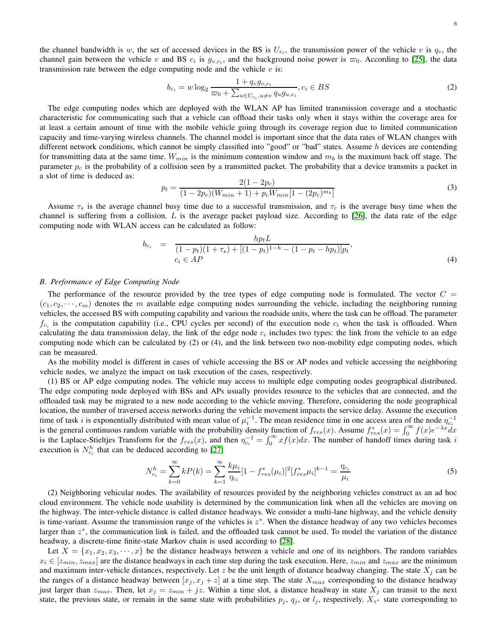the channel bandwidth is w, the set of accessed devices in the BS is  $U_{c_i}$ , the transmission power of the vehicle v is  $q_v$ , the channel gain between the vehicle v and BS  $c_i$  is  $g_{v,c_i}$ , and the background noise power is  $\varpi_0$ . According to [\[25\]](#page-10-24), the data transmission rate between the edge computing node and the vehicle  $v$  is:

$$
b_{c_i} = w \log_2 \frac{1 + q_v g_{v, c_i}}{\varpi_0 + \sum_{u \in U_{c_i}, u \neq v} q_u g_{u, c_i}}, c_i \in BS
$$
\n(2)

The edge computing nodes which are deployed with the WLAN AP has limited transmission coverage and a stochastic characteristic for communicating such that a vehicle can offload their tasks only when it stays within the coverage area for at least a certain amount of time with the mobile vehicle going through its coverage region due to limited communication capacity and time-varying wireless channels. The channel model is important since that the data rates of WLAN changes with different network conditions, which cannot be simply classified into "good" or "bad" states. Assume  $h$  devices are contending for transmitting data at the same time.  $W_{min}$  is the minimum contention window and  $m_b$  is the maximum back off stage. The parameter  $p_c$  is the probability of a collision seen by a transmitted packet. The probability that a device transmits a packet in a slot of time is deduced as:

$$
p_t = \frac{2(1 - 2p_c)}{(1 - 2p_c)(W_{min} + 1) + p_c W_{min}[1 - (2p_c)^{m_b}]}
$$
\n(3)

Assume  $\tau_s$  is the average channel busy time due to a successful transmission, and  $\tau_c$  is the average busy time when the channel is suffering from a collision. L is the average packet payload size. According to  $[26]$ , the data rate of the edge computing node with WLAN access can be calculated as follow:

$$
b_{c_i} = \frac{hp_t L}{(1 - p_t)(1 + \tau_s) + [(1 - p_t)^{1 - h} - (1 - p_t - hp_t)]p_t},
$$
  
\n
$$
c_i \in AP
$$
\n(4)

## *B. Performance of Edge Computing Node*

The performance of the resource provided by the tree types of edge computing node is formulated. The vector  $C =$  $(c_1, c_2, \dots, c_m)$  denotes the m available edge computing nodes surrounding the vehicle, including the neighboring running vehicles, the accessed BS with computing capability and various the roadside units, where the task can be offload. The parameter  $f_{c_i}$  is the computation capability (i.e., CPU cycles per second) of the execution node  $c_i$  when the task is offloaded. When calculating the data transmission delay, the link of the edge node  $c_i$  includes two types: the link from the vehicle to an edge computing node which can be calculated by (2) or (4), and the link between two non-mobility edge computing nodes, which can be measured.

As the mobility model is different in cases of vehicle accessing the BS or AP nodes and vehicle accessing the neighboring vehicle nodes, we analyze the impact on task execution of the cases, respectively.

(1) BS or AP edge computing nodes. The vehicle may access to multiple edge computing nodes geographical distributed. The edge computing node deployed with BSs and APs usually provides resource to the vehicles that are connected, and the offloaded task may be migrated to a new node according to the vehicle moving. Therefore, considering the node geographical location, the number of traversed access networks during the vehicle movement impacts the service delay. Assume the execution time of task *i* is exponentially distributed with mean value of  $\mu_i^{-1}$ . The mean residence time in one access area of the node  $\eta_{ci}^{-1}$ is the general continuous random variable with the probability density function of  $f_{res}(x)$ . Assume  $f_{res}^*(x) = \int_0^\infty f(x)e^{-\lambda x} dx$ is the Laplace-Stieltjes Transform for the  $f_{res}(x)$ , and then  $\eta_{c_1}^{-1} = \int_0^\infty x f(x) dx$ . The number of handoff times during task is execution is  $N_{c_i}^h$  that can be deduced according to [\[27\]](#page-11-1)

$$
N_{c_i}^h = \sum_{k=0}^{\infty} k P(k) = \sum_{k=1}^{\infty} \frac{k \mu_i}{\eta_{c_i}} [1 - f_{res}^* (\mu_i)]^2 [f_{res}^* \mu_i]^{k-1} = \frac{\eta_{c_i}}{\mu_i}
$$
(5)

(2) Neighboring vehicular nodes. The availability of resources provided by the neighboring vehicles construct as an ad hoc cloud environment. The vehicle node usability is determined by the communication link when all the vehicles are moving on the highway. The inter-vehicle distance is called distance headways. We consider a multi-lane highway, and the vehicle density is time-variant. Assume the transmission range of the vehicles is  $z^*$ . When the distance headway of any two vehicles becomes larger than  $z^*$ , the communication link is failed, and the offloaded task cannot be used. To model the variation of the distance headway, a discrete-time finite-state Markov chain is used according to [\[28\]](#page-11-2).

Let  $X = \{x_1, x_2, x_3, \dots, x\}$  be the distance headways between a vehicle and one of its neighbors. The random variables  $x_i \in [z_{min}, z_{max}]$  are the distance headways in each time step during the task execution. Here,  $z_{min}$  and  $z_{max}$  are the minimum and maximum inter-vehicle distances, respectively. Let z be the unit length of distance headway changing. The state  $X_j$  can be the ranges of a distance headway between  $[x_j, x_j + z]$  at a time step. The state  $X_{max}$  corresponding to the distance headway just larger than  $z_{max}$ . Then, let  $x_j = z_{min} + jz$ . Within a time slot, a distance headway in state  $X_j$  can transit to the next state, the previous state, or remain in the same state with probabilities  $p_j$ ,  $q_j$ , or  $l_j$ , respectively.  $X_{z^*}$  state corresponding to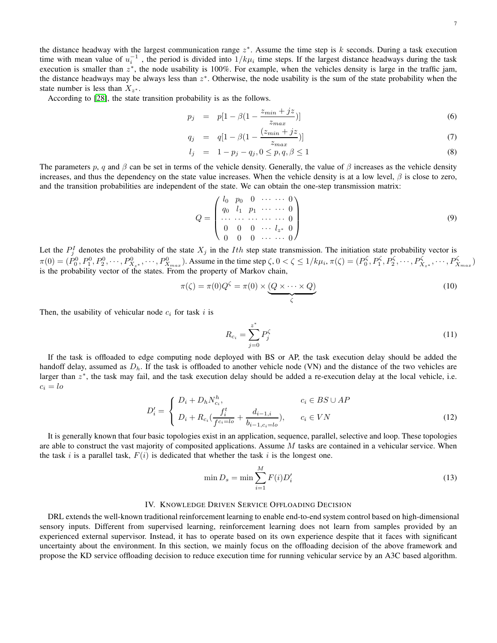According to [\[28\]](#page-11-2), the state transition probability is as the follows.

$$
p_j = p[1 - \beta(1 - \frac{z_{min} + jz}{z_{max}})] \tag{6}
$$

$$
q_j = q[1 - \beta(1 - \frac{(z_{min} + jz}{z_{max}})] \tag{7}
$$

$$
l_j = 1 - p_j - q_j, 0 \le p, q, \beta \le 1 \tag{8}
$$

The parameters p, q and  $\beta$  can be set in terms of the vehicle density. Generally, the value of  $\beta$  increases as the vehicle density increases, and thus the dependency on the state value increases. When the vehicle density is at a low level,  $\beta$  is close to zero, and the transition probabilities are independent of the state. We can obtain the one-step transmission matrix:

$$
Q = \begin{pmatrix} l_0 & p_0 & 0 & \cdots & \cdots & 0 \\ q_0 & l_1 & p_1 & \cdots & \cdots & 0 \\ \cdots & \cdots & \cdots & \cdots & \cdots & 0 \\ 0 & 0 & 0 & \cdots & l_{z^*} & 0 \\ 0 & 0 & 0 & \cdots & \cdots & 0 \end{pmatrix}
$$
 (9)

Let the  $P_j^I$  denotes the probability of the state  $X_j$  in the *Ith* step state transmission. The initiation state probability vector is  $\pi(0) = (P_0^0, P_1^0, P_2^0, \dots, P_{X_{x}}^0, \dots, P_{X_{max}}^0)$ . Assume in the time step  $\zeta$ ,  $0 < \zeta \le 1/k\mu_i$ ,  $\pi(\zeta) = (P_0^{\zeta}, P_1^{\zeta}, P_2^{\zeta}, \dots, P_{X_{x}}^{\zeta}, \dots, P_{X_{max}}^{\zeta})$ is the probability vector of the states. From the property of Markov chain,

$$
\pi(\zeta) = \pi(0)Q^{\zeta} = \pi(0) \times \underbrace{(Q \times \dots \times Q)}_{\zeta}
$$
\n(10)

Then, the usability of vehicular node  $c_i$  for task i is

$$
R_{c_i} = \sum_{j=0}^{z^*} P_j^{\zeta} \tag{11}
$$

If the task is offloaded to edge computing node deployed with BS or AP, the task execution delay should be added the handoff delay, assumed as  $D_h$ . If the task is offloaded to another vehicle node (VN) and the distance of the two vehicles are larger than  $z^*$ , the task may fail, and the task execution delay should be added a re-execution delay at the local vehicle, i.e.  $c_i = lo$ 

$$
D'_{i} = \begin{cases} D_{i} + D_{h}N_{c_{i}}^{h}, & c_{i} \in BS \cup AP \\ D_{i} + R_{c_{i}}(\frac{f_{i}^{t}}{f^{c_{i}=lo}} + \frac{d_{i-1,i}}{b_{i-1,c_{i}=lo}}), & c_{i} \in VN \end{cases}
$$
(12)

It is generally known that four basic topologies exist in an application, sequence, parallel, selective and loop. These topologies are able to construct the vast majority of composited applications. Assume  $M$  tasks are contained in a vehicular service. When the task i is a parallel task,  $F(i)$  is dedicated that whether the task i is the longest one.

$$
\min D_s = \min \sum_{i=1}^{M} F(i) D'_i \tag{13}
$$

# IV. KNOWLEDGE DRIVEN SERVICE OFFLOADING DECISION

DRL extends the well-known traditional reinforcement learning to enable end-to-end system control based on high-dimensional sensory inputs. Different from supervised learning, reinforcement learning does not learn from samples provided by an experienced external supervisor. Instead, it has to operate based on its own experience despite that it faces with significant uncertainty about the environment. In this section, we mainly focus on the offloading decision of the above framework and propose the KD service offloading decision to reduce execution time for running vehicular service by an A3C based algorithm.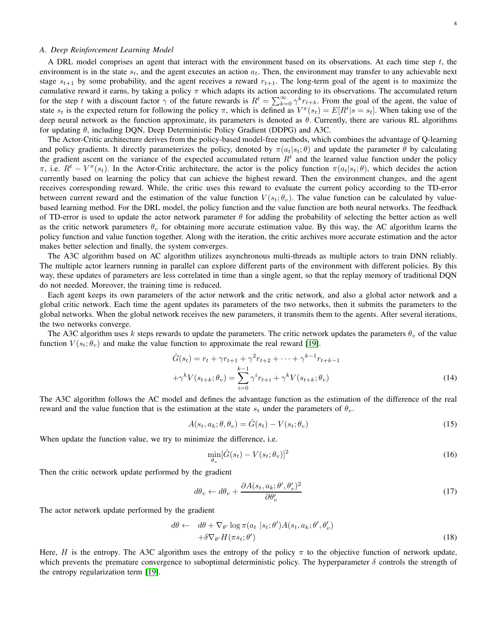## *A. Deep Reinforcement Learning Model*

A DRL model comprises an agent that interact with the environment based on its observations. At each time step  $t$ , the environment is in the state  $s_t$ , and the agent executes an action  $a_t$ . Then, the environment may transfer to any achievable next stage  $s_{t+1}$  by some probability, and the agent receives a reward  $r_{t+1}$ . The long-term goal of the agent is to maximize the cumulative reward it earns, by taking a policy  $\pi$  which adapts its action according to its observations. The accumulated return for the step t with a discount factor  $\gamma$  of the future rewards is  $R^t = \sum_{k=0}^{\infty} \gamma^k r_{t+k}$ . From the goal of the agent, the value of state  $s_t$  is the expected return for following the policy  $\pi$ , which is defined as  $V^{\pi}(s_t) = E[R^t | s = s_t]$ . When taking use of the deep neural network as the function approximate, its parameters is denoted as  $\theta$ . Currently, there are various RL algorithms for updating  $\theta$ , including DQN, Deep Deterministic Policy Gradient (DDPG) and A3C.

The Actor-Critic architecture derives from the policy-based model-free methods, which combines the advantage of Q-learning and policy gradients. It directly parameterizes the policy, denoted by  $\pi(a_t|s_t; \theta)$  and update the parameter  $\theta$  by calculating the gradient ascent on the variance of the expected accumulated return  $R<sup>t</sup>$  and the learned value function under the policy π, i.e.  $R^t - V^{\pi}(s_t)$ . In the Actor-Critic architecture, the actor is the policy function  $\pi(a_t|s_t; \theta)$ , which decides the action currently based on learning the policy that can achieve the highest reward. Then the environment changes, and the agent receives corresponding reward. While, the critic uses this reward to evaluate the current policy according to the TD-error between current reward and the estimation of the value function  $V(s_t; \theta_v)$ . The value function can be calculated by valuebased learning method. For the DRL model, the policy function and the value function are both neural networks. The feedback of TD-error is used to update the actor network parameter  $\theta$  for adding the probability of selecting the better action as well as the critic network parameters  $\theta_v$  for obtaining more accurate estimation value. By this way, the AC algorithm learns the policy function and value function together. Along with the iteration, the critic archives more accurate estimation and the actor makes better selection and finally, the system converges.

The A3C algorithm based on AC algorithm utilizes asynchronous multi-threads as multiple actors to train DNN reliably. The multiple actor learners running in parallel can explore different parts of the environment with different policies. By this way, these updates of parameters are less correlated in time than a single agent, so that the replay memory of traditional DQN do not needed. Moreover, the training time is reduced.

Each agent keeps its own parameters of the actor network and the critic network, and also a global actor network and a global critic network. Each time the agent updates its parameters of the two networks, then it submits the parameters to the global networks. When the global network receives the new parameters, it transmits them to the agents. After several iterations, the two networks converge.

The A3C algorithm uses k steps rewards to update the parameters. The critic network updates the parameters  $\theta_v$  of the value function  $V(s_t; \theta_v)$  and make the value function to approximate the real reward [\[19\]](#page-10-18).

$$
\hat{G}(s_t) = r_t + \gamma r_{t+1} + \gamma^2 r_{t+2} + \dots + \gamma^{k-1} r_{t+k-1} \n+ \gamma^k V(s_{t+k}; \theta_v) = \sum_{i=0}^{k-1} \gamma^i r_{t+i} + \gamma^k V(s_{t+k}; \theta_v)
$$
\n(14)

The A3C algorithm follows the AC model and defines the advantage function as the estimation of the difference of the real reward and the value function that is the estimation at the state  $s_t$  under the parameters of  $\theta_v$ .

$$
A(s_t, a_k; \theta, \theta_v) = \hat{G}(s_t) - V(s_t; \theta_v)
$$
\n(15)

When update the function value, we try to minimize the difference, i.e.

$$
\min_{\theta_v} [\hat{G}(s_t) - V(s_t; \theta_v)]^2 \tag{16}
$$

Then the critic network update performed by the gradient

$$
d\theta_v \leftarrow d\theta_v + \frac{\partial A(s_t, a_k; \theta', \theta_v')^2}{\partial \theta_v'} \tag{17}
$$

The actor network update performed by the gradient

$$
d\theta \leftarrow d\theta + \nabla_{\theta'} \log \pi(a_t \mid s_t; \theta') A(s_t, a_k; \theta', \theta'_v) + \delta \nabla_{\theta'} H(\pi s_t; \theta')
$$
\n(18)

Here, H is the entropy. The A3C algorithm uses the entropy of the policy  $\pi$  to the objective function of network update, which prevents the premature convergence to suboptimal deterministic policy. The hyperparameter  $\delta$  controls the strength of the entropy regularization term [\[19\]](#page-10-18).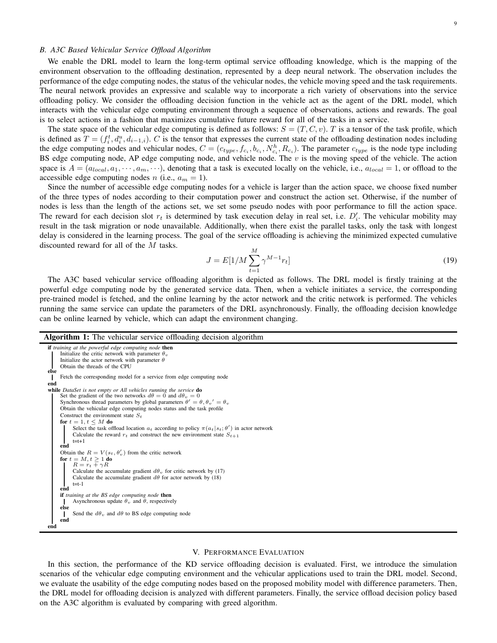9

### *B. A3C Based Vehicular Service Offload Algorithm*

We enable the DRL model to learn the long-term optimal service offloading knowledge, which is the mapping of the environment observation to the offloading destination, represented by a deep neural network. The observation includes the performance of the edge computing nodes, the status of the vehicular nodes, the vehicle moving speed and the task requirements. The neural network provides an expressive and scalable way to incorporate a rich variety of observations into the service offloading policy. We consider the offloading decision function in the vehicle act as the agent of the DRL model, which interacts with the vehicular edge computing environment through a sequence of observations, actions and rewards. The goal is to select actions in a fashion that maximizes cumulative future reward for all of the tasks in a service.

The state space of the vehicular edge computing is defined as follows:  $S = (T, C, v)$ . T is a tensor of the task profile, which is defined as  $T = (f_i^t, d_i^u, d_{i-1,i})$ . C is the tensor that expresses the current state of the offloading destination nodes including the edge computing nodes and vehicular nodes,  $C = (c_{type}, f_{c_i}, b_{c_i}, N_{c_i}^h, R_{c_i})$ . The parameter  $c_{type}$  is the node type including BS edge computing node, AP edge computing node, and vehicle node. The  $v$  is the moving speed of the vehicle. The action space is  $A = (a_{local}, a_1, \dots, a_m, \dots)$ , denoting that a task is executed locally on the vehicle, i.e.,  $a_{local} = 1$ , or offload to the accessible edge computing nodes n (i.e.,  $a_m = 1$ ).

Since the number of accessible edge computing nodes for a vehicle is larger than the action space, we choose fixed number of the three types of nodes according to their computation power and construct the action set. Otherwise, if the number of nodes is less than the length of the actions set, we set some pseudo nodes with poor performance to fill the action space. The reward for each decision slot  $r_t$  is determined by task execution delay in real set, i.e.  $D'_i$ . The vehicular mobility may result in the task migration or node unavailable. Additionally, when there exist the parallel tasks, only the task with longest delay is considered in the learning process. The goal of the service offloading is achieving the minimized expected cumulative discounted reward for all of the M tasks.

$$
J = E[1/M \sum_{t=1}^{M} \gamma^{M-1} r_t]
$$
\n(19)

The A3C based vehicular service offloading algorithm is depicted as follows. The DRL model is firstly training at the powerful edge computing node by the generated service data. Then, when a vehicle initiates a service, the corresponding pre-trained model is fetched, and the online learning by the actor network and the critic network is performed. The vehicles running the same service can update the parameters of the DRL asynchronously. Finally, the offloading decision knowledge can be online learned by vehicle, which can adapt the environment changing.

#### Algorithm 1: The vehicular service offloading decision algorithm



#### V. PERFORMANCE EVALUATION

In this section, the performance of the KD service offloading decision is evaluated. First, we introduce the simulation scenarios of the vehicular edge computing environment and the vehicular applications used to train the DRL model. Second, we evaluate the usability of the edge computing nodes based on the proposed mobility model with difference parameters. Then, the DRL model for offloading decision is analyzed with different parameters. Finally, the service offload decision policy based on the A3C algorithm is evaluated by comparing with greed algorithm.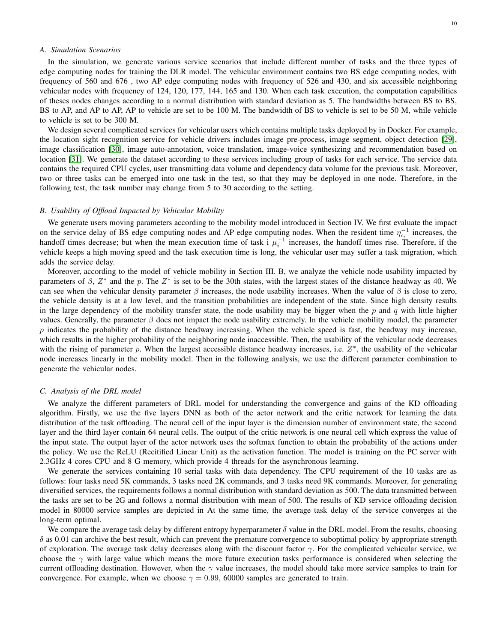# *A. Simulation Scenarios*

In the simulation, we generate various service scenarios that include different number of tasks and the three types of edge computing nodes for training the DLR model. The vehicular environment contains two BS edge computing nodes, with frequency of 560 and 676 , two AP edge computing nodes with frequency of 526 and 430, and six accessible neighboring vehicular nodes with frequency of 124, 120, 177, 144, 165 and 130. When each task execution, the computation capabilities of theses nodes changes according to a normal distribution with standard deviation as 5. The bandwidths between BS to BS, BS to AP, and AP to AP, AP to vehicle are set to be 100 M. The bandwidth of BS to vehicle is set to be 50 M, while vehicle to vehicle is set to be 300 M.

We design several complicated services for vehicular users which contains multiple tasks deployed by in Docker. For example, the location sight recognition service for vehicle drivers includes image pre-process, image segment, object detection [\[29\]](#page-11-3), image classification [\[30\]](#page-11-4), image auto-annotation, voice translation, image-voice synthesizing and recommendation based on location [\[31\]](#page-11-5). We generate the dataset according to these services including group of tasks for each service. The service data contains the required CPU cycles, user transmitting data volume and dependency data volume for the previous task. Moreover, two or three tasks can be emerged into one task in the test, so that they may be deployed in one node. Therefore, in the following test, the task number may change from 5 to 30 according to the setting.

## *B. Usability of Offload Impacted by Vehicular Mobility*

We generate users moving parameters according to the mobility model introduced in Section IV. We first evaluate the impact on the service delay of BS edge computing nodes and AP edge computing nodes. When the resident time  $\eta_{c_i}^{-1}$  increases, the handoff times decrease; but when the mean execution time of task i  $\mu_i^{-1}$  increases, the handoff times rise. Therefore, if the vehicle keeps a high moving speed and the task execution time is long, the vehicular user may suffer a task migration, which adds the service delay.

Moreover, according to the model of vehicle mobility in Section III. B, we analyze the vehicle node usability impacted by parameters of  $\beta$ ,  $Z^*$  and the p. The  $Z^*$  is set to be the 30th states, with the largest states of the distance headway as 40. We can see when the vehicular density parameter  $\beta$  increases, the node usability increases. When the value of  $\beta$  is close to zero, the vehicle density is at a low level, and the transition probabilities are independent of the state. Since high density results in the large dependency of the mobility transfer state, the node usability may be bigger when the p and q with little higher values. Generally, the parameter  $\beta$  does not impact the node usability extremely. In the vehicle mobility model, the parameter  $p$  indicates the probability of the distance headway increasing. When the vehicle speed is fast, the headway may increase, which results in the higher probability of the neighboring node inaccessible. Then, the usability of the vehicular node decreases with the rising of parameter p. When the largest accessible distance headway increases, i.e.  $Z^*$ , the usability of the vehicular node increases linearly in the mobility model. Then in the following analysis, we use the different parameter combination to generate the vehicular nodes.

#### *C. Analysis of the DRL model*

We analyze the different parameters of DRL model for understanding the convergence and gains of the KD offloading algorithm. Firstly, we use the five layers DNN as both of the actor network and the critic network for learning the data distribution of the task offloading. The neural cell of the input layer is the dimension number of environment state, the second layer and the third layer contain 64 neural cells. The output of the critic network is one neural cell which express the value of the input state. The output layer of the actor network uses the softmax function to obtain the probability of the actions under the policy. We use the ReLU (Recitified Linear Unit) as the activation function. The model is training on the PC server with 2.3GHz 4 cores CPU and 8 G memory, which provide 4 threads for the asynchronous learning.

We generate the services containing 10 serial tasks with data dependency. The CPU requirement of the 10 tasks are as follows: four tasks need 5K commands, 3 tasks need 2K commands, and 3 tasks need 9K commands. Moreover, for generating diversified services, the requirements follows a normal distribution with standard deviation as 500. The data transmitted between the tasks are set to be 2G and follows a normal distribution with mean of 500. The results of KD service offloading decision model in 80000 service samples are depicted in At the same time, the average task delay of the service converges at the long-term optimal.

We compare the average task delay by different entropy hyperparameter  $\delta$  value in the DRL model. From the results, choosing  $\delta$  as 0.01 can archive the best result, which can prevent the premature convergence to suboptimal policy by appropriate strength of exploration. The average task delay decreases along with the discount factor  $\gamma$ . For the complicated vehicular service, we choose the  $\gamma$  with large value which means the more future execution tasks performance is considered when selecting the current offloading destination. However, when the  $\gamma$  value increases, the model should take more service samples to train for convergence. For example, when we choose  $\gamma = 0.99, 60000$  samples are generated to train.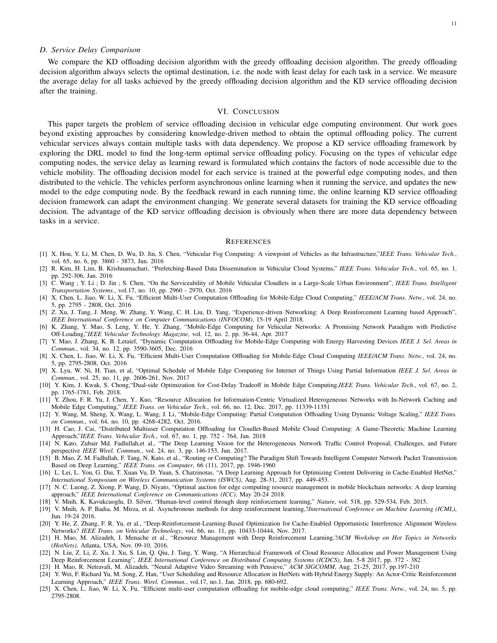### *D. Service Delay Comparison*

We compare the KD offloading decision algorithm with the greedy offloading decision algorithm. The greedy offloading decision algorithm always selects the optimal destination, i.e. the node with least delay for each task in a service. We measure the average delay for all tasks achieved by the greedy offloading decision algorithm and the KD service offloading decision after the training.

### VI. CONCLUSION

This paper targets the problem of service offloading decision in vehicular edge computing environment. Our work goes beyond existing approaches by considering knowledge-driven method to obtain the optimal offloading policy. The current vehicular services always contain multiple tasks with data dependency. We propose a KD service offloading framework by exploring the DRL model to find the long-term optimal service offloading policy. Focusing on the types of vehicular edge computing nodes, the service delay as learning reward is formulated which contains the factors of node accessible due to the vehicle mobility. The offloading decision model for each service is trained at the powerful edge computing nodes, and then distributed to the vehicle. The vehicles perform asynchronous online learning when it running the service, and updates the new model to the edge computing node. By the feedback reward in each running time, the online learning KD service offloading decision framework can adapt the environment changing. We generate several datasets for training the KD service offloading decision. The advantage of the KD service offloading decision is obviously when there are more data dependency between tasks in a service.

#### **REFERENCES**

- <span id="page-10-0"></span>[1] X. Hou, Y. Li, M. Chen, D. Wu, D. Jin, S. Chen, "Vehicular Fog Computing: A viewpoint of Vehicles as the Infrastructure,"*IEEE Trans. Vehicular Tech.*, vol. 65, no. 6, pp. 3860 - 3873, Jun. 2016
- <span id="page-10-1"></span>[2] R. Kim, H. Lim, B. Krishnamachari, "Prefetching-Based Data Dissemination in Vehicular Cloud Systems," *IEEE Trans. Vehicular Tech.*, vol. 65, no. 1, pp. 292-306, Jan. 2016
- <span id="page-10-2"></span>[3] C. Wang ; Y. Li ; D. Jin ; S. Chen, "On the Serviceability of Mobile Vehicular Cloudlets in a Large-Scale Urban Environment", *IEEE Trans. Intelligent Transportation Systems.*, vol.17, no. 10, pp. 2960 - 2970, Oct. 2016
- <span id="page-10-3"></span>[4] X. Chen, L. Jiao, W. Li, X. Fu, "Efficient Multi-User Computation Offloading for Mobile-Edge Cloud Computing," *IEEE/ACM Trans. Netw.*, vol. 24, no. 5, pp. 2795 - 2808, Oct. 2016
- <span id="page-10-4"></span>[5] Z. Xu, J. Tang, J. Meng, W. Zhang, Y. Wang, C. H. Liu, D. Yang, "Experience-driven Networking: A Deep Reinforcement Learning based Approach", *IEEE International Conference on Computer Communications (INFOCOM)*, 15-19 April 2018.
- <span id="page-10-5"></span>[6] K. Zhang, Y. Mao, S. Leng, Y. He, Y. Zhang, "Mobile-Edge Computing for Vehicular Networks: A Promising Network Paradigm with Predictive Off-Loading,"*IEEE Vehicular Technology Magazine*, vol. 12, no. 2. pp. 36-44, Apr. 2017
- <span id="page-10-6"></span>[7] Y. Mao, J. Zhang, K. B. Letaief, "Dynamic Computation Offloading for Mobile-Edge Computing with Energy Harvesting Devices *IEEE J. Sel. Areas in Commun.*, vol. 34, no. 12, pp. 3590-3605, Dec. 2016
- <span id="page-10-7"></span>[8] X. Chen, L. Jiao, W. Li, X. Fu, "Efficient Multi-User Computation Offloading for Mobile-Edge Cloud Computing *IEEE/ACM Trans. Netw.*, vol. 24, no. 5, pp. 2795-2808, Oct. 2016
- <span id="page-10-8"></span>[9] X. Lyu, W. Ni, H. Tian, et al, "Optimal Schedule of Mobile Edge Computing for Internet of Things Using Partial Information *IEEE J. Sel. Areas in Commun.*, vol. 25, no. 11, pp. 2606-261, Nov. 2017
- <span id="page-10-9"></span>[10] Y. Kim, J. Kwak, S. Chong,"Dual-side Optimization for Cost-Delay Tradeoff in Mobile Edge Computing,*IEEE Trans. Vehicular Tech.*, vol. 67, no. 2, pp. 1765-1781, Feb. 2018.
- <span id="page-10-10"></span>[11] Y. Zhou, F. R. Yu, J. Chen, Y.. Kuo, "Resource Allocation for Information-Centric Virtualized Heterogeneous Networks with In-Network Caching and Mobile Edge Computing," *IEEE Trans. on Vehicular Tech.*, vol. 66, no. 12, Dec. 2017, pp. 11339-11351
- <span id="page-10-11"></span>[12] Y. Wang, M. Sheng, X. Wang, L. Wang, J. Li, "Mobile-Edge Computing: Partial Computation Offloading Using Dynamic Voltage Scaling," *IEEE Trans. on Commun.*, vol. 64, no. 10, pp. 4268-4282, Oct. 2016.
- <span id="page-10-12"></span>[13] H. Cao, J. Cai, "Distributed Multiuser Computation Offloading for Cloudlet-Based Mobile Cloud Computing: A Game-Theoretic Machine Learning Approach,"*IEEE Trans. Vehicular Tech.*, vol. 67, no. 1, pp. 752 - 764, Jan. 2018
- <span id="page-10-13"></span>[14] N. Kato, Zubair Md. Fadlullah,et al., "The Deep Learning Vision for the Heterogeneous Network Traffic Control Proposal, Challenges, and Future perspective *IEEE Wirel. Commun.*, vol. 24, no. 3, pp. 146-153, Jun. 2017.
- <span id="page-10-14"></span>[15] B. Mao, Z. M. Fadlullah, F. Tang, N. Kato, et al., "Routing or Computing? The Paradigm Shift Towards Intelligent Computer Network Packet Transmission Based on Deep Learning," *IEEE Trans. on Computer*, 66 (11), 2017, pp. 1946-1960
- <span id="page-10-15"></span>[16] L. Lei, L. You, G. Dai, T. Xuan Vu, D. Yuan, S. Chatzinotas, "A Deep Learning Approach for Optimizing Content Delivering in Cache-Enabled HetNet," *International Symposium on Wireless Communication Systems (ISWCS)*, Aug. 28-31, 2017, pp. 449-453.
- <span id="page-10-16"></span>[17] N. C. Luong, Z. Xiong, P. Wang, D. Niyato, "Optimal auction for edge computing resource management in mobile blockchain networks: A deep learning approach," *IEEE International Conference on Communications (ICC)*, May 20-24 2018.
- <span id="page-10-18"></span><span id="page-10-17"></span>[18] V. Mnih, K. Kavukcuoglu, D. Silver, "Human-level control through deep reinforcement learning," *Nature*, vol. 518, pp. 529-534, Feb. 2015.
- [19] V. Mnih, A. P. Badia, M. Mirza, et al. Asynchronous methods for deep reinforcement learning,?*International Conference on Machine Learning (ICML)*, Jun. 19-24 2016.
- <span id="page-10-19"></span>[20] Y. He, Z. Zhang, F. R. Yu, et al., "Deep-Reinforcement-Learning-Based Optimization for Cache-Enabled Opportunistic Interference Alignment Wireless Networks? *IEEE Trans. on Vehicular Technology*, vol. 66, no. 11, pp. 10433-10444, Nov. 2017.
- <span id="page-10-20"></span>[21] H. Mao, M. Alizadeh, I. Menache et al., "Resource Management with Deep Reinforcement Learning,?*ACM Workshop on Hot Topics in Networks (HotNets)*, Atlanta, USA, Nov. 09-10, 2016.
- <span id="page-10-21"></span>[22] N. Liu, Z. Li, Z. Xu, J. Xu, S. Lin, Q. Qiu, J. Tang, Y. Wang, "A Hierarchical Framework of Cloud Resource Allocation and Power Management Using Deep Reinforcement Learning", *IEEE International Conference on Distributed Computing Systems (ICDCS)*, Jun. 5-8 2017, pp. 372 - 382
- <span id="page-10-23"></span><span id="page-10-22"></span>[23] H. Mao, R. Netravali, M. Alizadeh, "Neural Adaptive Video Streaming with Pensieve," *ACM SIGCOMM*, Aug. 21-25, 2017, pp.197-210
- [24] Y. Wei, F. Richard Yu, M. Song, Z. Han, "User Scheduling and Resource Allocation in HetNets with Hybrid Energy Supply: An Actor-Critic Reinforcement Learning Approach," *IEEE Trans. Wirel. Commun.*, vol.17, no.1, Jan. 2018, pp. 680-692.
- <span id="page-10-24"></span>[25] X. Chen, L. Jiao, W. Li, X. Fu, "Efficient multi-user computation offloading for mobile-edge cloud computing," *IEEE Trans. Netw.*, vol. 24, no. 5, pp. 2795-2808.